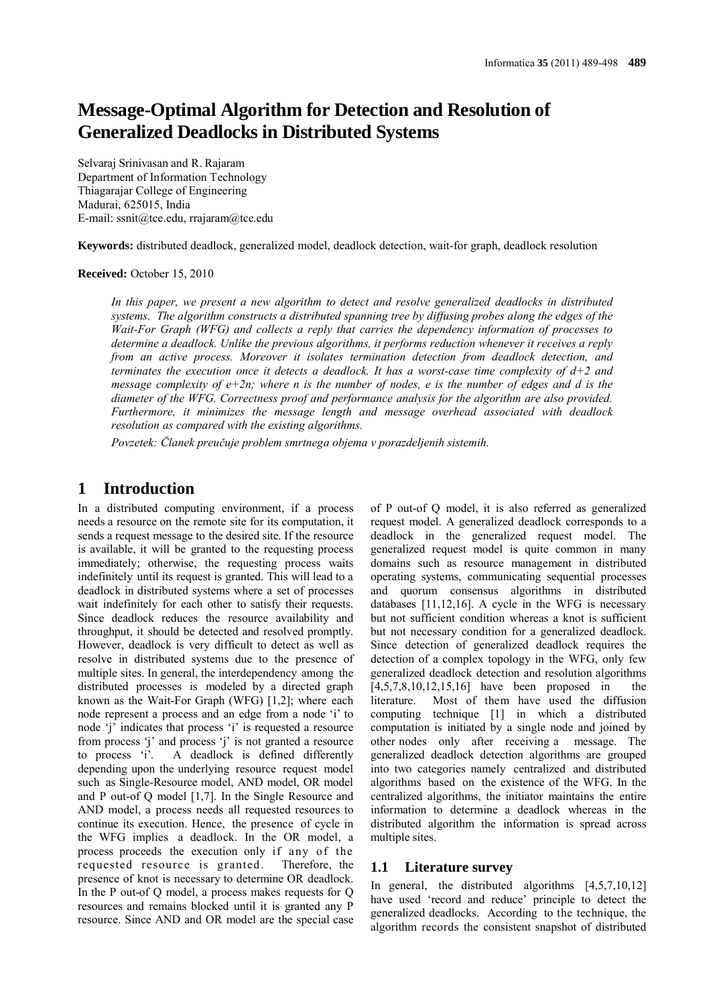# **Message-Optimal Algorithm for Detection and Resolution of Generalized Deadlocks in Distributed Systems**

Selvaraj Srinivasan and R. Rajaram Department of Information Technology Thiagarajar College of Engineering Madurai, 625015, India E-mail: ssnit@tce.edu, rrajaram@tce.edu

**Keywords:** distributed deadlock, generalized model, deadlock detection, wait-for graph, deadlock resolution

#### **Received:** October 15, 2010

In this paper, we present a new algorithm to detect and resolve generalized deadlocks in distributed *systems. The algorithm constructs a distributed spanning tree by diffusing probes along the edges of the Wait-For Graph (WFG) and collects a reply that carries the dependency information of processes to determine a deadlock. Unlike the previous algorithms, it performs reduction whenever it receives a reply from an active process. Moreover it isolates termination detection from deadlock detection, and terminates the execution once it detects a deadlock. It has a worst-case time complexity of d+2 and message complexity of e+2n; where n is the number of nodes, e is the number of edges and d is the diameter of the WFG. Correctness proof and performance analysis for the algorithm are also provided. Furthermore, it minimizes the message length and message overhead associated with deadlock resolution as compared with the existing algorithms.*

*Povzetek: Članek preučuje problem smrtnega objema v porazdeljenih sistemih.*

## **1 Introduction**

In a distributed computing environment, if a process needs a resource on the remote site for its computation, it sends a request message to the desired site. If the resource is available, it will be granted to the requesting process immediately; otherwise, the requesting process waits indefinitely until its request is granted. This will lead to a deadlock in distributed systems where a set of processes wait indefinitely for each other to satisfy their requests. Since deadlock reduces the resource availability and throughput, it should be detected and resolved promptly. However, deadlock is very difficult to detect as well as resolve in distributed systems due to the presence of multiple sites. In general, the interdependency among the distributed processes is modeled by a directed graph known as the Wait-For Graph (WFG) [1,2]; where each node represent a process and an edge from a node 'i' to node 'j' indicates that process 'i' is requested a resource from process 'j' and process 'j' is not granted a resource to process 'i'. A deadlock is defined differently depending upon the underlying resource request model such as Single-Resource model, AND model, OR model and P out-of Q model [1,7]. In the Single Resource and AND model, a process needs all requested resources to continue its execution. Hence, the presence of cycle in the WFG implies a deadlock. In the OR model, a process proceeds the execution only if any of the requested resource is granted. Therefore, the presence of knot is necessary to determine OR deadlock. In the P out-of Q model, a process makes requests for Q resources and remains blocked until it is granted any P resource. Since AND and OR model are the special case

of P out-of Q model, it is also referred as generalized request model. A generalized deadlock corresponds to a deadlock in the generalized request model. The generalized request model is quite common in many domains such as resource management in distributed operating systems, communicating sequential processes and quorum consensus algorithms in distributed databases [11,12,16]. A cycle in the WFG is necessary but not sufficient condition whereas a knot is sufficient but not necessary condition for a generalized deadlock. Since detection of generalized deadlock requires the detection of a complex topology in the WFG, only few generalized deadlock detection and resolution algorithms [4,5,7,8,10,12,15,16] have been proposed in the literature. Most of them have used the diffusion computing technique [1] in which a distributed computation is initiated by a single node and joined by other nodes only after receiving a message. The generalized deadlock detection algorithms are grouped into two categories namely centralized and distributed algorithms based on the existence of the WFG. In the centralized algorithms, the initiator maintains the entire information to determine a deadlock whereas in the distributed algorithm the information is spread across multiple sites.

## **1.1 Literature survey**

In general, the distributed algorithms [4,5,7,10,12] have used 'record and reduce' principle to detect the generalized deadlocks. According to the technique, the algorithm records the consistent snapshot of distributed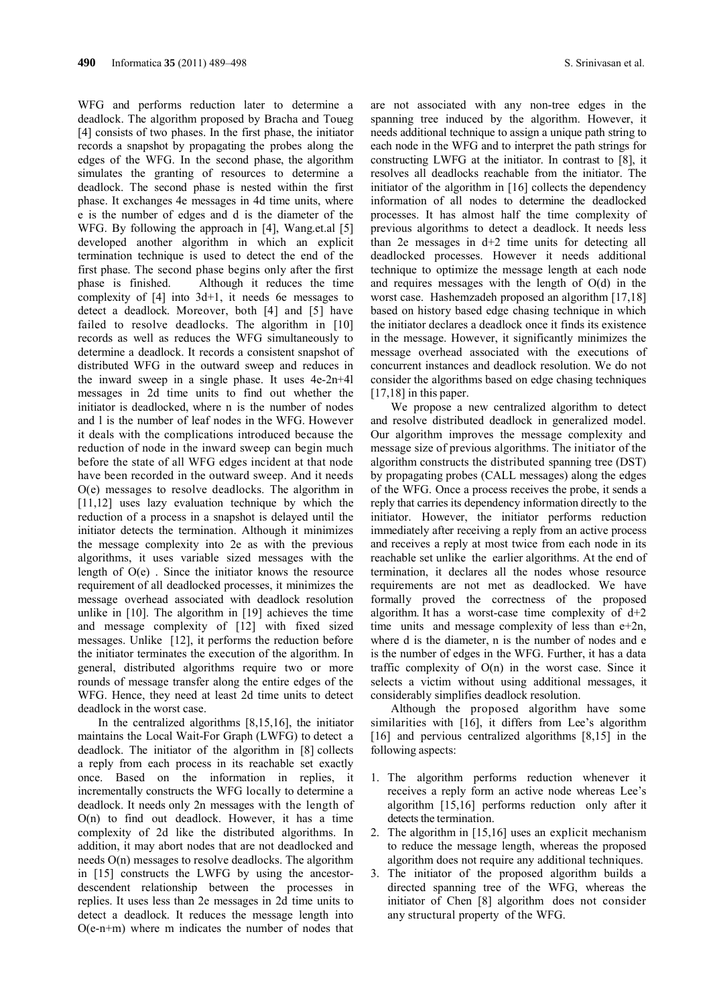WFG and performs reduction later to determine a deadlock. The algorithm proposed by Bracha and Toueg [4] consists of two phases. In the first phase, the initiator records a snapshot by propagating the probes along the edges of the WFG. In the second phase, the algorithm simulates the granting of resources to determine a deadlock. The second phase is nested within the first phase. It exchanges 4e messages in 4d time units, where e is the number of edges and d is the diameter of the WFG. By following the approach in [4], Wang.et.al [5] developed another algorithm in which an explicit termination technique is used to detect the end of the first phase. The second phase begins only after the first phase is finished. Although it reduces the time complexity of [4] into 3d+1, it needs 6e messages to detect a deadlock. Moreover, both [4] and [5] have failed to resolve deadlocks. The algorithm in [10] records as well as reduces the WFG simultaneously to determine a deadlock. It records a consistent snapshot of distributed WFG in the outward sweep and reduces in the inward sweep in a single phase. It uses 4e-2n+4l messages in 2d time units to find out whether the initiator is deadlocked, where n is the number of nodes and l is the number of leaf nodes in the WFG. However it deals with the complications introduced because the reduction of node in the inward sweep can begin much before the state of all WFG edges incident at that node have been recorded in the outward sweep. And it needs O(e) messages to resolve deadlocks. The algorithm in [11,12] uses lazy evaluation technique by which the reduction of a process in a snapshot is delayed until the initiator detects the termination. Although it minimizes the message complexity into 2e as with the previous algorithms, it uses variable sized messages with the length of  $O(e)$ . Since the initiator knows the resource requirement of all deadlocked processes, it minimizes the message overhead associated with deadlock resolution unlike in [10]. The algorithm in [19] achieves the time and message complexity of [12] with fixed sized messages. Unlike [12], it performs the reduction before the initiator terminates the execution of the algorithm. In general, distributed algorithms require two or more rounds of message transfer along the entire edges of the WFG. Hence, they need at least 2d time units to detect deadlock in the worst case.

In the centralized algorithms [8,15,16], the initiator maintains the Local Wait-For Graph (LWFG) to detect a deadlock. The initiator of the algorithm in [8] collects a reply from each process in its reachable set exactly once. Based on the information in replies, it incrementally constructs the WFG locally to determine a deadlock. It needs only 2n messages with the length of O(n) to find out deadlock. However, it has a time complexity of 2d like the distributed algorithms. In addition, it may abort nodes that are not deadlocked and needs O(n) messages to resolve deadlocks. The algorithm in [15] constructs the LWFG by using the ancestordescendent relationship between the processes in replies. It uses less than 2e messages in 2d time units to detect a deadlock. It reduces the message length into O(e-n+m) where m indicates the number of nodes that are not associated with any non-tree edges in the spanning tree induced by the algorithm. However, it needs additional technique to assign a unique path string to each node in the WFG and to interpret the path strings for constructing LWFG at the initiator. In contrast to [8], it resolves all deadlocks reachable from the initiator. The initiator of the algorithm in [16] collects the dependency information of all nodes to determine the deadlocked processes. It has almost half the time complexity of previous algorithms to detect a deadlock. It needs less than 2e messages in d+2 time units for detecting all deadlocked processes. However it needs additional technique to optimize the message length at each node and requires messages with the length of O(d) in the worst case. Hashemzadeh proposed an algorithm [17,18] based on history based edge chasing technique in which the initiator declares a deadlock once it finds its existence in the message. However, it significantly minimizes the message overhead associated with the executions of concurrent instances and deadlock resolution. We do not consider the algorithms based on edge chasing techniques [17,18] in this paper.

We propose a new centralized algorithm to detect and resolve distributed deadlock in generalized model. Our algorithm improves the message complexity and message size of previous algorithms. The initiator of the algorithm constructs the distributed spanning tree (DST) by propagating probes (CALL messages) along the edges of the WFG. Once a process receives the probe, it sends a reply that carries its dependency information directly to the initiator. However, the initiator performs reduction immediately after receiving a reply from an active process and receives a reply at most twice from each node in its reachable set unlike the earlier algorithms. At the end of termination, it declares all the nodes whose resource requirements are not met as deadlocked. We have formally proved the correctness of the proposed algorithm. It has a worst-case time complexity of  $d+2$ time units and message complexity of less than  $e+2n$ , where d is the diameter, n is the number of nodes and e is the number of edges in the WFG. Further, it has a data traffic complexity of  $O(n)$  in the worst case. Since it selects a victim without using additional messages, it considerably simplifies deadlock resolution.

Although the proposed algorithm have some similarities with [16], it differs from Lee's algorithm [16] and pervious centralized algorithms [8,15] in the following aspects:

- 1. The algorithm performs reduction whenever it receives a reply form an active node whereas Lee's algorithm [15,16] performs reduction only after it detects the termination.
- 2. The algorithm in [15,16] uses an explicit mechanism to reduce the message length, whereas the proposed algorithm does not require any additional techniques.
- 3. The initiator of the proposed algorithm builds a directed spanning tree of the WFG, whereas the initiator of Chen [8] algorithm does not consider any structural property of the WFG.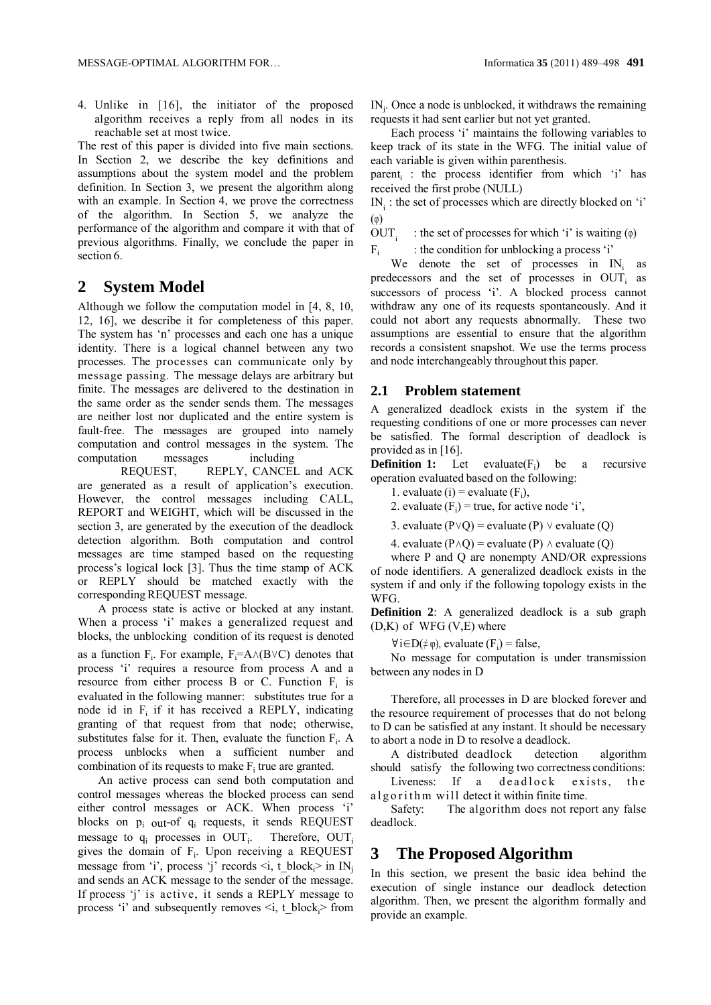4. Unlike in [16], the initiator of the proposed algorithm receives a reply from all nodes in its reachable set at most twice.

The rest of this paper is divided into five main sections. In Section 2, we describe the key definitions and assumptions about the system model and the problem definition. In Section 3, we present the algorithm along with an example. In Section 4, we prove the correctness of the algorithm. In Section 5, we analyze the performance of the algorithm and compare it with that of previous algorithms. Finally, we conclude the paper in section 6.

## **2 System Model**

Although we follow the computation model in [4, 8, 10, 12, 16], we describe it for completeness of this paper. The system has 'n' processes and each one has a unique identity. There is a logical channel between any two processes. The processes can communicate only by message passing. The message delays are arbitrary but finite. The messages are delivered to the destination in the same order as the sender sends them. The messages are neither lost nor duplicated and the entire system is fault-free. The messages are grouped into namely computation and control messages in the system. The computation messages including

REQUEST, REPLY, CANCEL and ACK are generated as a result of application's execution. However, the control messages including CALL, REPORT and WEIGHT, which will be discussed in the section 3, are generated by the execution of the deadlock detection algorithm. Both computation and control messages are time stamped based on the requesting process's logical lock [3]. Thus the time stamp of ACK or REPLY should be matched exactly with the corresponding REQUEST message.

A process state is active or blocked at any instant. When a process 'i' makes a generalized request and blocks, the unblocking condition of its request is denoted as a function  $F_i$ . For example,  $F_i = A \wedge (B \vee C)$  denotes that process 'i' requires a resource from process A and a resource from either process B or C. Function  $F_i$  is evaluated in the following manner: substitutes true for a node id in  $F_i$  if it has received a REPLY, indicating granting of that request from that node; otherwise, substitutes false for it. Then, evaluate the function  $F_i$ . A process unblocks when a sufficient number and combination of its requests to make  $F_i$  true are granted.

An active process can send both computation and control messages whereas the blocked process can send either control messages or ACK. When process 'i' blocks on pi out-of qi requests, it sends REQUEST message to  $q_i$  processes in OUT<sub>i</sub>. Therefore,  $OUT<sub>i</sub>$ gives the domain of  $F_i$ . Upon receiving a REQUEST message from 'i', process 'j' records  $\leq i$ , t\_block<sub>i</sub> in IN<sub>j</sub> and sends an ACK message to the sender of the message. If process 'j' is active, it sends a REPLY message to process 'i' and subsequently removes  $\leq i$ , t\_block<sub>i</sub> > from

INj . Once a node is unblocked, it withdraws the remaining requests it had sent earlier but not yet granted.

Each process 'i' maintains the following variables to keep track of its state in the WFG. The initial value of each variable is given within parenthesis.

parent<sub>i</sub>: the process identifier from which 'i' has received the first probe (NULL)

IN<sub>i</sub>: the set of processes which are directly blocked on 'i' (φ)

OUT. : the set of processes for which 'i' is waiting  $(\varphi)$ 

 $F_i$  : the condition for unblocking a process 'i'

We denote the set of processes in  $IN_i$  as predecessors and the set of processes in OUT<sub>i</sub> as successors of process 'i'. A blocked process cannot withdraw any one of its requests spontaneously. And it could not abort any requests abnormally. These two assumptions are essential to ensure that the algorithm records a consistent snapshot. We use the terms process and node interchangeably throughout this paper.

#### **2.1 Problem statement**

A generalized deadlock exists in the system if the requesting conditions of one or more processes can never be satisfied. The formal description of deadlock is provided as in [16].

**Definition 1:** Let evaluate( $F_i$ ) be a recursive operation evaluated based on the following:

1. evaluate (i) = evaluate  $(F_i)$ ,

2. evaluate  $(F_i)$  = true, for active node 'i',

3. evaluate (P∨Q) = evaluate (P) ∨ evaluate (Q)

4. evaluate ( $P \wedge Q$ ) = evaluate (P)  $\wedge$  evaluate (Q)

where P and Q are nonempty AND/OR expressions of node identifiers. A generalized deadlock exists in the system if and only if the following topology exists in the WFG.

**Definition 2**: A generalized deadlock is a sub graph  $(D,K)$  of WFG  $(V,E)$  where

 $\forall i \in D(\neq \varphi)$ , evaluate  $(F_i)$  = false,

No message for computation is under transmission between any nodes in D

Therefore, all processes in D are blocked forever and the resource requirement of processes that do not belong to D can be satisfied at any instant. It should be necessary to abort a node in D to resolve a deadlock.

A distributed deadlock detection algorithm should satisfy the following two correctness conditions:

Liveness: If a deadlock exists, the a l g o r i th m will detect it within finite time.

Safety: The algorithm does not report any false deadlock.

## **3 The Proposed Algorithm**

In this section, we present the basic idea behind the execution of single instance our deadlock detection algorithm. Then, we present the algorithm formally and provide an example.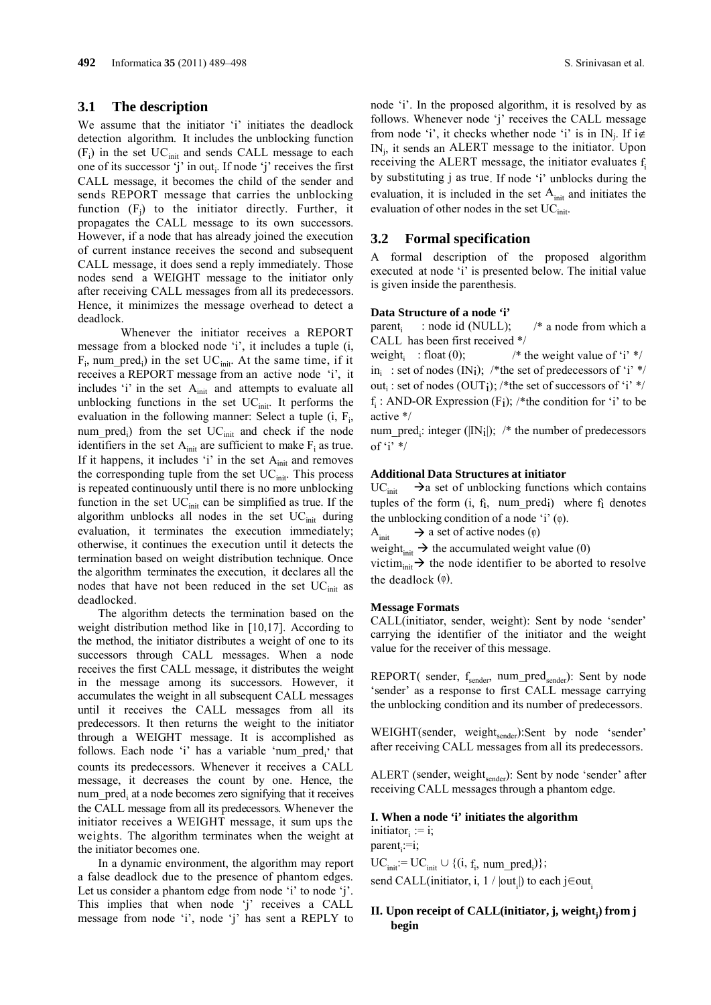### **3.1 The description**

We assume that the initiator 'i' initiates the deadlock detection algorithm. It includes the unblocking function  $(F_i)$  in the set  $UC<sub>init</sub>$  and sends CALL message to each one of its successor 'j' in out<sub>i</sub>. If node 'j' receives the first CALL message, it becomes the child of the sender and sends REPORT message that carries the unblocking function  $(F_j)$  to the initiator directly. Further, it propagates the CALL message to its own successors. However, if a node that has already joined the execution of current instance receives the second and subsequent CALL message, it does send a reply immediately. Those nodes send a WEIGHT message to the initiator only after receiving CALL messages from all its predecessors. Hence, it minimizes the message overhead to detect a deadlock.

Whenever the initiator receives a REPORT message from a blocked node 'i', it includes a tuple (i,  $F_i$ , num\_pred<sub>i</sub>) in the set  $UC_{init}$ . At the same time, if it receives a REPORT message from an active node 'i', it includes 'i' in the set  $A<sub>init</sub>$  and attempts to evaluate all unblocking functions in the set  $UC<sub>init</sub>$ . It performs the evaluation in the following manner: Select a tuple  $(i, F<sub>i</sub>,$ num\_pred<sub>i</sub>) from the set  $UC<sub>init</sub>$  and check if the node identifiers in the set  $A<sub>init</sub>$  are sufficient to make  $F<sub>i</sub>$  as true. If it happens, it includes 'i' in the set  $A<sub>init</sub>$  and removes the corresponding tuple from the set  $UC<sub>init</sub>$ . This process is repeated continuously until there is no more unblocking function in the set  $UC<sub>init</sub>$  can be simplified as true. If the algorithm unblocks all nodes in the set  $UC<sub>init</sub>$  during evaluation, it terminates the execution immediately; otherwise, it continues the execution until it detects the termination based on weight distribution technique. Once the algorithm terminates the execution, it declares all the nodes that have not been reduced in the set  $UC<sub>init</sub>$  as deadlocked.

The algorithm detects the termination based on the weight distribution method like in [10,17]. According to the method, the initiator distributes a weight of one to its successors through CALL messages. When a node receives the first CALL message, it distributes the weight in the message among its successors. However, it accumulates the weight in all subsequent CALL messages until it receives the CALL messages from all its predecessors. It then returns the weight to the initiator through a WEIGHT message. It is accomplished as follows. Each node 'i' has a variable 'num  $pred_i$ ' that counts its predecessors. Whenever it receives a CALL message, it decreases the count by one. Hence, the num pred<sub>i</sub> at a node becomes zero signifying that it receives the CALL message from all its predecessors. Whenever the initiator receives a WEIGHT message, it sum ups the weights. The algorithm terminates when the weight at the initiator becomes one.

In a dynamic environment, the algorithm may report a false deadlock due to the presence of phantom edges. Let us consider a phantom edge from node 'i' to node 'j'. This implies that when node 'j' receives a CALL message from node 'i', node 'j' has sent a REPLY to

node 'i'. In the proposed algorithm, it is resolved by as follows. Whenever node 'j' receives the CALL message from node 'i', it checks whether node 'i' is in  $IN_i$ . If  $i \notin I$ INj, it sends an ALERT message to the initiator. Upon receiving the ALERT message, the initiator evaluates  $f_i$ by substituting j as true. If node 'i' unblocks during the evaluation, it is included in the set  $A<sub>init</sub>$  and initiates the evaluation of other nodes in the set UC<sub>init</sub>.

### **3.2 Formal specification**

A formal description of the proposed algorithm executed at node 'i' is presented below. The initial value is given inside the parenthesis.

#### **Data Structure of a node 'i'**

parent<sub>i</sub> : node id (NULL);  $\frac{\pi}{4}$  a node from which a CALL has been first received \*/

weight<sub>i</sub> : float (0);  $\frac{\partial^* f}{\partial x^*}$  /\* the weight value of 'i' \*/ in<sub>i</sub>: set of nodes (IN<sub>i</sub>); /\*the set of predecessors of 'i' \*/ out<sub>i</sub>: set of nodes (OUT<sub>i</sub>); /\*the set of successors of 'i' \*/ f: AND-OR Expression  $(F_i)$ ; /\*the condition for 'i' to be active \*/

num\_pred<sub>i</sub>: integer ( $|IN_i|$ ); /\* the number of predecessors of 'i'  $*/$ 

#### **Additional Data Structures at initiator**

 $UC<sub>init</sub>$   $\rightarrow$  a set of unblocking functions which contains tuples of the form  $(i, f_i, num_pred_i)$  where  $f_i$  denotes the unblocking condition of a node 'i' (φ).

A<sub>init</sub>  $\rightarrow$  a set of active nodes (φ)

weight $\lim_{\text{init}} \to$  the accumulated weight value (0)

victim<sub>init</sub>  $\rightarrow$  the node identifier to be aborted to resolve the deadlock (φ).

#### **Message Formats**

CALL(initiator, sender, weight): Sent by node 'sender' carrying the identifier of the initiator and the weight value for the receiver of this message.

REPORT( sender, f<sub>sender</sub>, num\_pred<sub>sender</sub>): Sent by node 'sender' as a response to first CALL message carrying the unblocking condition and its number of predecessors.

WEIGHT(sender, weight<sub>sender</sub>):Sent by node 'sender' after receiving CALL messages from all its predecessors.

ALERT (sender, weight<sub>sender</sub>): Sent by node 'sender' after receiving CALL messages through a phantom edge.

#### **I. When a node 'i' initiates the algorithm** initiator:  $:=$  i:

parent<sub>i</sub>:=i;

 $UC<sub>init</sub> := UC<sub>init</sub> \cup \{(i, f<sub>i</sub>, num_pred<sub>i</sub>)\};$ send CALL(initiator, i,  $1 / |out_i|$ ) to each j∈out<sub>i</sub>

### **II.** Upon receipt of CALL(initiator, j, weight;) from j **begin**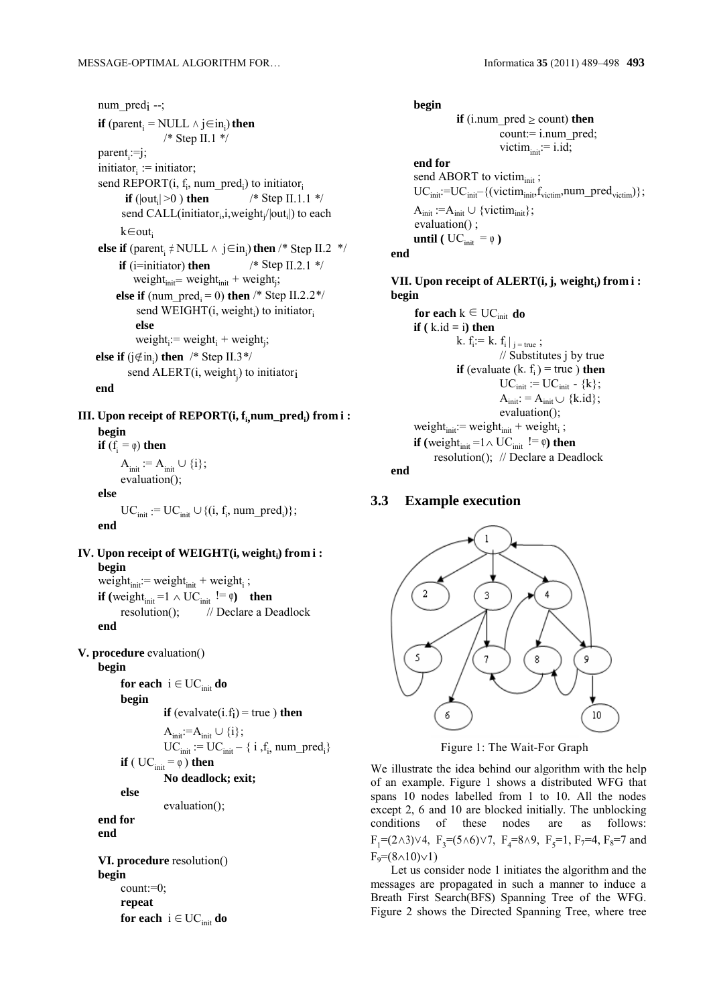num pred<sub>i</sub> --; **if** (parent<sub>i</sub> = NULL  $\land$  j∈in<sub>i</sub>) **then** /\* Step II.1 \*/ parent<sub>i</sub>:=j;  $initiator_i := initiator;$ send REPORT $(i, f_i, num\_pred_i)$  to initiator<sub>i</sub>  **if**  $(|out_i|>0)$  **then** /\* Step II.1.1 \*/ send CALL(initiator<sub>i</sub>, i, weight  $/|\text{out}_i|$ ) to each k∈outi **else if** (parent<sub>i</sub> ≠ NULL ∧  $j \in in<sub>i</sub>$ ) **then** /\* Step II.2 \*/ **if**  $(i=initiator)$  **then** /\* Step II.2.1 \*/ weight $_{init}$  = weight $_{init}$  + weight<sub>j</sub>; **else if** (num\_pred<sub>i</sub> = 0) **then** /\* Step II.2.2\*/ send WEIGHT $(i, weight_i)$  to initiator<sub>i</sub>  **else**  $weight_i := weight_i + weight_j;$ **else if** ( $j \notin in_i$ ) **then** /\* Step II.3\*/ send  $\text{ALERT}(i, \text{weight}_i)$  to initiatori  **end**

 $\textbf{III.}$  Upon receipt of REPORT(i,  $\textbf{f}_{\text{i,}}$ num\_pred<sub>i</sub>) from i : **begin if**  $(f_i = \varphi)$  **then**  $A_{init} := A_{init} \cup \{i\};$ evaluation(); **else**

 $UC<sub>init</sub> := UC<sub>init</sub> \cup \{(i, f<sub>i</sub>, num\_pred<sub>i</sub>)\};$ **end**

**IV.** Upon receipt of WEIGHT(i, weight<sub>i</sub>) from i : **begin** weight $t_{init}$ : = weight $t_{init}$  + weight<sub>i</sub>;

**if** (weight<sub>init</sub> =1  $\land$  UC<sub>init</sub> !=  $\varphi$ ) **then** resolution(); // Declare a Deadlock **end**

**V. procedure** evaluation()

```
begin
```
**for each**  $i \in UC_{init}$  **do** 

```
begin
```
**if**  $\text{(evaluate}(i.f_i) = \text{true}$ ) **then** 

 $A_{init}:=A_{init} \cup \{i\};$ 

 $UC<sub>init</sub> := UC<sub>init</sub> - \{ i, f<sub>i</sub>, num_pred<sub>i</sub> \}$ 

**if**  $(\text{UC}_{\text{init}} = \varphi)$  **then No deadlock; exit;**

**else**

evaluation();

**end for**

**end**

**VI. procedure** resolution() **begin** count:=0; **repeat for each**  $i \in UC_{init}$  **do** 

#### **begin**

**if** (i.num  $\text{pred} \ge \text{count}$ ) **then** count:= i.num\_pred; victim $_{init} := i.id;$ 

**end for** send ABORT to victim<sub>init</sub>;  $UC<sub>init</sub>:=UC<sub>init</sub>-(*(victim<sub>init</sub>,f<sub>victim</sub>,num_pred<sub>victim</sub>)*$  $A_{init} := A_{init} \cup \{victim_{init}\};$  evaluation() ; **until** ( $UC_{init} = \varphi$ ) **end**

**VII.** Upon receipt of ALERT(i, j, weight<sub>i</sub>) from i: **begin**

```
 for each k \in UC_{init} do
      \mathbf{if} (k.id = i) then
                    k. f_i := k. f_i |_{j = true};
                                 // Substitutes j by true 
                    if (evaluate (k, f<sub>i</sub>) = true) then
                                 UC<sub>init</sub> := UC<sub>init</sub> - {k};A_{init}: = A_{init} \cup \{k.id\};evaluation();
      weightt_{init}: = weightt_{init} + weight<sub>i</sub>;
      if (weight<sub>init</sub> =1 \wedge UC<sub>init</sub> != \varphi) then
             resolution(); // Declare a Deadlock
end
```
## **3.3 Example execution**



Figure 1: The Wait-For Graph

We illustrate the idea behind our algorithm with the help of an example. Figure 1 shows a distributed WFG that spans 10 nodes labelled from 1 to 10. All the nodes except 2, 6 and 10 are blocked initially. The unblocking conditions of these nodes are as follows:  $F_1=(2\wedge3)\vee4$ ,  $F_3=(5\wedge6)\vee7$ ,  $F_4=8\wedge9$ ,  $F_5=1$ ,  $F_7=4$ ,  $F_8=7$  and  $F_9=(8 \wedge 10) \vee 1$ 

Let us consider node 1 initiates the algorithm and the messages are propagated in such a manner to induce a Breath First Search(BFS) Spanning Tree of the WFG. Figure 2 shows the Directed Spanning Tree, where tree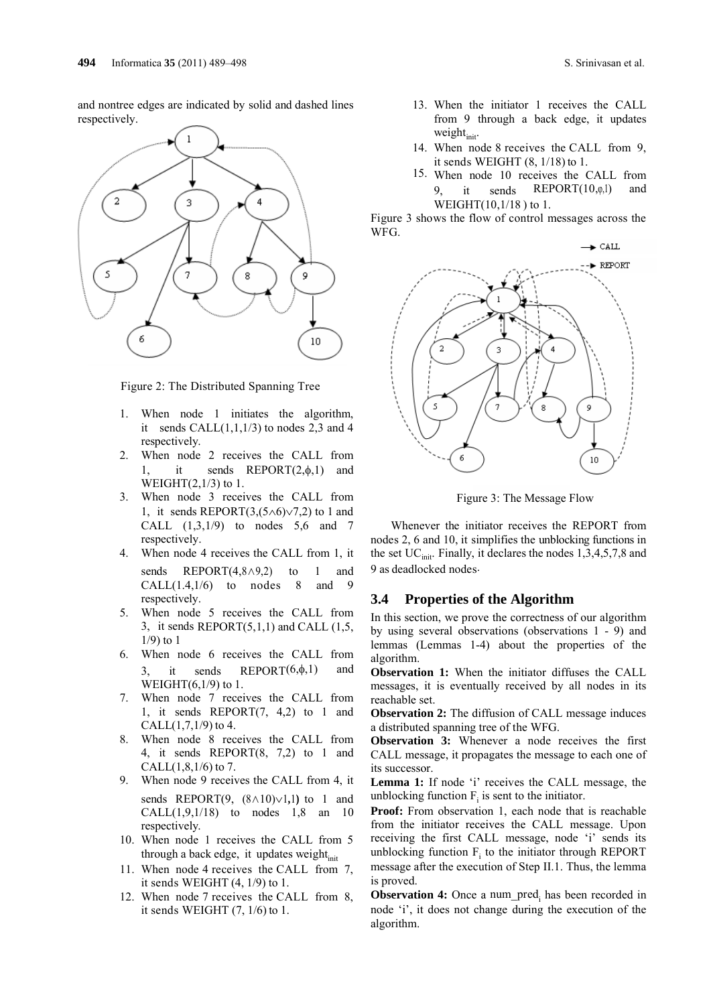and nontree edges are indicated by solid and dashed lines respectively.



Figure 2: The Distributed Spanning Tree

- 1. When node 1 initiates the algorithm, it sends CALL $(1,1,1/3)$  to nodes 2,3 and 4 respectively.
- 2. When node 2 receives the CALL from 1, it sends  $REPORT(2, \phi, 1)$  and WEIGHT $(2,1/3)$  to 1.
- 3. When node 3 receives the CALL from 1, it sends REPORT $(3,(5\land 6)\lor 7,2)$  to 1 and CALL  $(1,3,1/9)$  to nodes 5,6 and 7 respectively.
- 4. When node 4 receives the CALL from 1, it sends REPORT(4,8∧9,2) to 1 and  $CALL(1.4,1/6)$  to nodes 8 and 9 respectively.
- 5. When node 5 receives the CALL from 3, it sends  $REPORT(5,1,1)$  and CALL  $(1,5,$ 1/9) to 1
- 6. When node 6 receives the CALL from 3, it sends REPORT $(6, \phi, 1)$  and WEIGHT(6,1/9) to 1.
- 7. When node 7 receives the CALL from 1, it sends REPORT(7, 4,2) to 1 and  $CALL(1,7,1/9)$  to 4.
- 8. When node 8 receives the CALL from 4, it sends REPORT(8, 7,2) to 1 and CALL $(1, 8, 1/6)$  to 7.
- 9. When node 9 receives the CALL from 4, it sends REPORT $(9, (8 \wedge 10) \vee 1, 1)$  to 1 and  $CALL(1, 9, 1/18)$  to nodes 1,8 an 10 respectively.
- 10. When node 1 receives the CALL from 5 through a back edge, it updates weight<sub>init</sub>
- 11. When node 4 receives the CALL from 7, it sends WEIGHT (4, 1/9) to 1.
- 12. When node 7 receives the CALL from 8, it sends WEIGHT (7, 1/6) to 1.
- 13. When the initiator 1 receives the CALL from 9 through a back edge, it updates weight $_{\text{init}}$ .
- 14. When node 8 receives the CALL from 9, it sends WEIGHT (8, 1/18) to 1.
- 15. When node 10 receives the CALL from 9, it sends REPORT(10,φ,1) and WEIGHT(10,1/18 ) to 1.

Figure 3 shows the flow of control messages across the WFG.



Figure 3: The Message Flow

Whenever the initiator receives the REPORT from nodes 2, 6 and 10, it simplifies the unblocking functions in the set  $UC<sub>init</sub>$ . Finally, it declares the nodes 1,3,4,5,7,8 and 9 as deadlocked nodes.

### **3.4 Properties of the Algorithm**

In this section, we prove the correctness of our algorithm by using several observations (observations 1 - 9) and lemmas (Lemmas 1-4) about the properties of the algorithm.

**Observation 1:** When the initiator diffuses the CALL messages, it is eventually received by all nodes in its reachable set.

**Observation 2:** The diffusion of CALL message induces a distributed spanning tree of the WFG.

**Observation 3:** Whenever a node receives the first CALL message, it propagates the message to each one of its successor.

**Lemma 1:** If node 'i' receives the CALL message, the unblocking function  $F_i$  is sent to the initiator.

**Proof:** From observation 1, each node that is reachable from the initiator receives the CALL message. Upon receiving the first CALL message, node 'i' sends its unblocking function  $F_i$  to the initiator through REPORT message after the execution of Step II.1. Thus, the lemma is proved.

**Observation 4:** Once a num pred<sub>i</sub> has been recorded in node 'i', it does not change during the execution of the algorithm.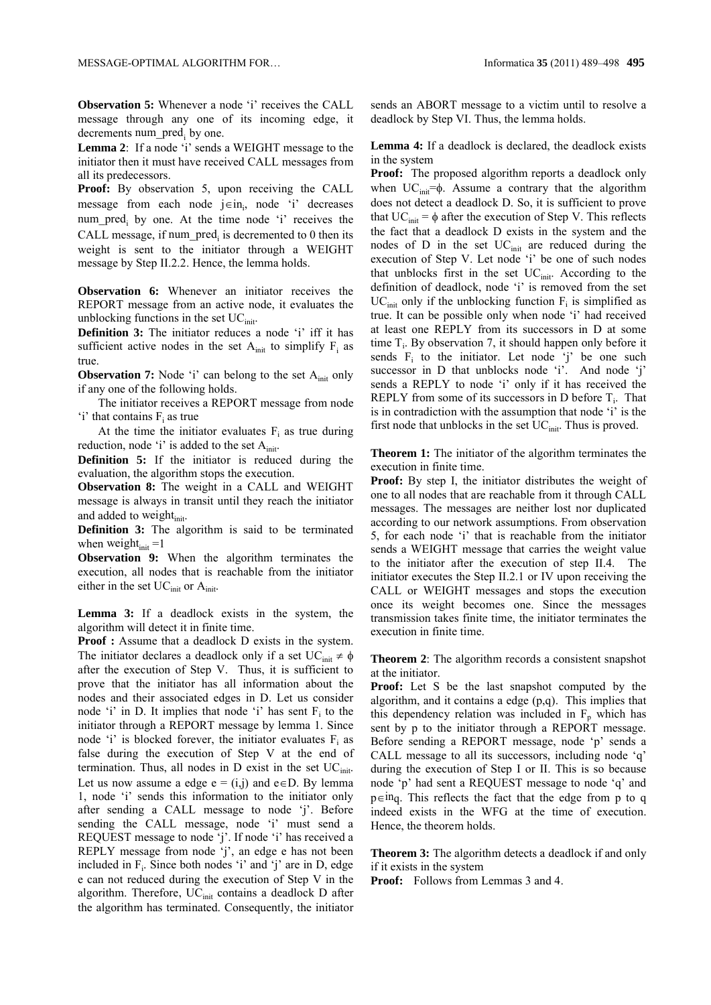**Observation 5:** Whenever a node 'i' receives the CALL message through any one of its incoming edge, it decrements num\_pred<sub>i</sub> by one.

**Lemma 2**: If a node 'i' sends a WEIGHT message to the initiator then it must have received CALL messages from all its predecessors.

**Proof:** By observation 5, upon receiving the CALL message from each node  $j \in in_j$ , node 'i' decreases num pred<sub>i</sub> by one. At the time node 'i' receives the CALL message, if num  $pred_i$  is decremented to 0 then its weight is sent to the initiator through a WEIGHT message by Step II.2.2. Hence, the lemma holds.

**Observation 6:** Whenever an initiator receives the REPORT message from an active node, it evaluates the unblocking functions in the set  $UC<sub>init</sub>$ .

**Definition 3:** The initiator reduces a node 'i' iff it has sufficient active nodes in the set  $A<sub>init</sub>$  to simplify  $F<sub>i</sub>$  as true.

**Observation 7:** Node 'i' can belong to the set A<sub>init</sub> only if any one of the following holds.

The initiator receives a REPORT message from node 'i' that contains  $F_i$  as true

At the time the initiator evaluates  $F_i$  as true during reduction, node 'i' is added to the set  $A_{init}$ .

**Definition 5:** If the initiator is reduced during the evaluation, the algorithm stops the execution.

**Observation 8:** The weight in a CALL and WEIGHT message is always in transit until they reach the initiator and added to weight<sub>init</sub>.

**Definition 3:** The algorithm is said to be terminated when weight $_{init} = 1$ 

**Observation 9:** When the algorithm terminates the execution, all nodes that is reachable from the initiator either in the set  $UC<sub>init</sub>$  or  $A<sub>init</sub>$ .

**Lemma 3:** If a deadlock exists in the system, the algorithm will detect it in finite time.

**Proof :** Assume that a deadlock D exists in the system. The initiator declares a deadlock only if a set  $UC<sub>init</sub> \neq \phi$ after the execution of Step V. Thus, it is sufficient to prove that the initiator has all information about the nodes and their associated edges in D. Let us consider node 'i' in D. It implies that node 'i' has sent  $F_i$  to the initiator through a REPORT message by lemma 1. Since node 'i' is blocked forever, the initiator evaluates  $F_i$  as false during the execution of Step V at the end of termination. Thus, all nodes in  $D$  exist in the set  $UC<sub>init</sub>$ . Let us now assume a edge  $e = (i,j)$  and  $e \in D$ . By lemma 1, node 'i' sends this information to the initiator only after sending a CALL message to node 'j'. Before sending the CALL message, node 'i' must send a REQUEST message to node 'j'. If node 'i' has received a REPLY message from node 'j', an edge e has not been included in  $F_i$ . Since both nodes 'i' and 'j' are in D, edge e can not reduced during the execution of Step V in the algorithm. Therefore,  $UC<sub>init</sub>$  contains a deadlock D after the algorithm has terminated. Consequently, the initiator

sends an ABORT message to a victim until to resolve a deadlock by Step VI. Thus, the lemma holds.

**Lemma 4:** If a deadlock is declared, the deadlock exists in the system

**Proof:** The proposed algorithm reports a deadlock only when  $UC<sub>init</sub>=\phi$ . Assume a contrary that the algorithm does not detect a deadlock D. So, it is sufficient to prove that  $UC<sub>init</sub> = \phi$  after the execution of Step V. This reflects the fact that a deadlock D exists in the system and the nodes of  $D$  in the set  $UC<sub>init</sub>$  are reduced during the execution of Step V. Let node 'i' be one of such nodes that unblocks first in the set  $UC<sub>init</sub>$ . According to the definition of deadlock, node 'i' is removed from the set  $UC<sub>init</sub>$  only if the unblocking function  $F<sub>i</sub>$  is simplified as true. It can be possible only when node 'i' had received at least one REPLY from its successors in D at some time  $T_i$ . By observation 7, it should happen only before it sends  $F_i$  to the initiator. Let node 'j' be one such successor in D that unblocks node 'i'. And node 'j' sends a REPLY to node 'i' only if it has received the REPLY from some of its successors in D before  $T_i$ . That is in contradiction with the assumption that node 'i' is the first node that unblocks in the set  $UC<sub>init</sub>$ . Thus is proved.

**Theorem 1:** The initiator of the algorithm terminates the execution in finite time.

**Proof:** By step I, the initiator distributes the weight of one to all nodes that are reachable from it through CALL messages. The messages are neither lost nor duplicated according to our network assumptions. From observation 5, for each node 'i' that is reachable from the initiator sends a WEIGHT message that carries the weight value to the initiator after the execution of step II.4. The initiator executes the Step II.2.1 or IV upon receiving the CALL or WEIGHT messages and stops the execution once its weight becomes one. Since the messages transmission takes finite time, the initiator terminates the execution in finite time.

**Theorem 2**: The algorithm records a consistent snapshot at the initiator.

**Proof:** Let S be the last snapshot computed by the algorithm, and it contains a edge (p,q). This implies that this dependency relation was included in  $F<sub>p</sub>$  which has sent by p to the initiator through a REPORT message. Before sending a REPORT message, node 'p' sends a CALL message to all its successors, including node 'q' during the execution of Step I or II. This is so because node 'p' had sent a REQUEST message to node 'q' and  $p \in \text{inq}$ . This reflects the fact that the edge from p to q indeed exists in the WFG at the time of execution. Hence, the theorem holds.

**Theorem 3:** The algorithm detects a deadlock if and only if it exists in the system

**Proof:** Follows from Lemmas 3 and 4.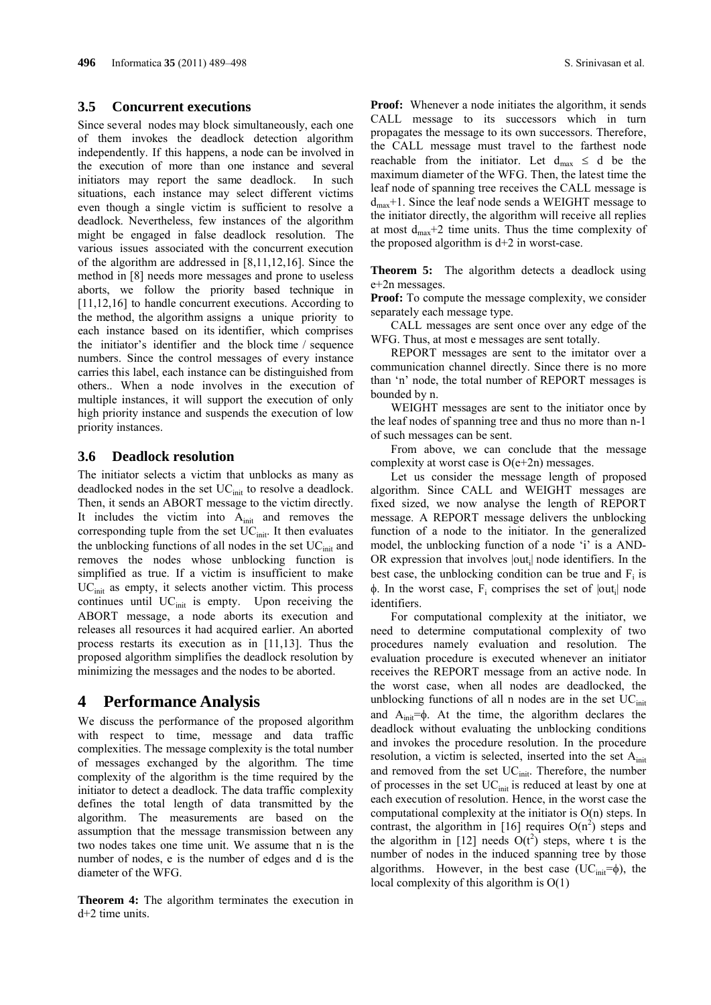### **3.5 Concurrent executions**

Since several nodes may block simultaneously, each one of them invokes the deadlock detection algorithm independently. If this happens, a node can be involved in the execution of more than one instance and several initiators may report the same deadlock. In such situations, each instance may select different victims even though a single victim is sufficient to resolve a deadlock. Nevertheless, few instances of the algorithm might be engaged in false deadlock resolution. The various issues associated with the concurrent execution of the algorithm are addressed in [8,11,12,16]. Since the method in [8] needs more messages and prone to useless aborts, we follow the priority based technique in [11,12,16] to handle concurrent executions. According to the method, the algorithm assigns a unique priority to each instance based on its identifier, which comprises the initiator's identifier and the block time / sequence numbers. Since the control messages of every instance carries this label, each instance can be distinguished from others.. When a node involves in the execution of multiple instances, it will support the execution of only high priority instance and suspends the execution of low priority instances.

### **3.6 Deadlock resolution**

The initiator selects a victim that unblocks as many as deadlocked nodes in the set  $UC<sub>init</sub>$  to resolve a deadlock. Then, it sends an ABORT message to the victim directly. It includes the victim into  $A_{init}$  and removes the corresponding tuple from the set  $UC<sub>init</sub>$ . It then evaluates the unblocking functions of all nodes in the set  $UC<sub>init</sub>$  and removes the nodes whose unblocking function is simplified as true. If a victim is insufficient to make  $\text{UC}_{\text{init}}$  as empty, it selects another victim. This process continues until  $UC<sub>init</sub>$  is empty. Upon receiving the ABORT message, a node aborts its execution and releases all resources it had acquired earlier. An aborted process restarts its execution as in [11,13]. Thus the proposed algorithm simplifies the deadlock resolution by minimizing the messages and the nodes to be aborted.

## **4 Performance Analysis**

We discuss the performance of the proposed algorithm with respect to time, message and data traffic complexities. The message complexity is the total number of messages exchanged by the algorithm. The time complexity of the algorithm is the time required by the initiator to detect a deadlock. The data traffic complexity defines the total length of data transmitted by the algorithm. The measurements are based on the assumption that the message transmission between any two nodes takes one time unit. We assume that n is the number of nodes, e is the number of edges and d is the diameter of the WFG.

**Theorem 4:** The algorithm terminates the execution in d+2 time units.

**Proof:** Whenever a node initiates the algorithm, it sends CALL message to its successors which in turn propagates the message to its own successors. Therefore, the CALL message must travel to the farthest node reachable from the initiator. Let  $d_{max} \le d$  be the maximum diameter of the WFG. Then, the latest time the leaf node of spanning tree receives the CALL message is  $d_{\text{max}}+1$ . Since the leaf node sends a WEIGHT message to the initiator directly, the algorithm will receive all replies at most  $d_{\text{max}}+2$  time units. Thus the time complexity of the proposed algorithm is  $d+2$  in worst-case.

**Theorem 5:** The algorithm detects a deadlock using e+2n messages.

**Proof:** To compute the message complexity, we consider separately each message type.

CALL messages are sent once over any edge of the WFG. Thus, at most e messages are sent totally.

REPORT messages are sent to the imitator over a communication channel directly. Since there is no more than 'n' node, the total number of REPORT messages is bounded by n.

WEIGHT messages are sent to the initiator once by the leaf nodes of spanning tree and thus no more than n-1 of such messages can be sent.

From above, we can conclude that the message complexity at worst case is O(e+2n) messages.

Let us consider the message length of proposed algorithm. Since CALL and WEIGHT messages are fixed sized, we now analyse the length of REPORT message. A REPORT message delivers the unblocking function of a node to the initiator. In the generalized model, the unblocking function of a node 'i' is a AND-OR expression that involves  $|out_i|$  node identifiers. In the best case, the unblocking condition can be true and  $F_i$  is  $\phi$ . In the worst case,  $F_i$  comprises the set of  $|out_i|$  node identifiers.

For computational complexity at the initiator, we need to determine computational complexity of two procedures namely evaluation and resolution. The evaluation procedure is executed whenever an initiator receives the REPORT message from an active node. In the worst case, when all nodes are deadlocked, the unblocking functions of all n nodes are in the set  $UC<sub>init</sub>$ and  $A_{init} = \phi$ . At the time, the algorithm declares the deadlock without evaluating the unblocking conditions and invokes the procedure resolution. In the procedure resolution, a victim is selected, inserted into the set  $A<sub>init</sub>$ and removed from the set UC<sub>init</sub>. Therefore, the number of processes in the set UC<sub>init</sub> is reduced at least by one at each execution of resolution. Hence, in the worst case the computational complexity at the initiator is O(n) steps. In contrast, the algorithm in [16] requires  $O(n^2)$  steps and the algorithm in [12] needs  $O(t^2)$  steps, where t is the number of nodes in the induced spanning tree by those algorithms. However, in the best case (UC<sub>init</sub>= $\phi$ ), the local complexity of this algorithm is O(1)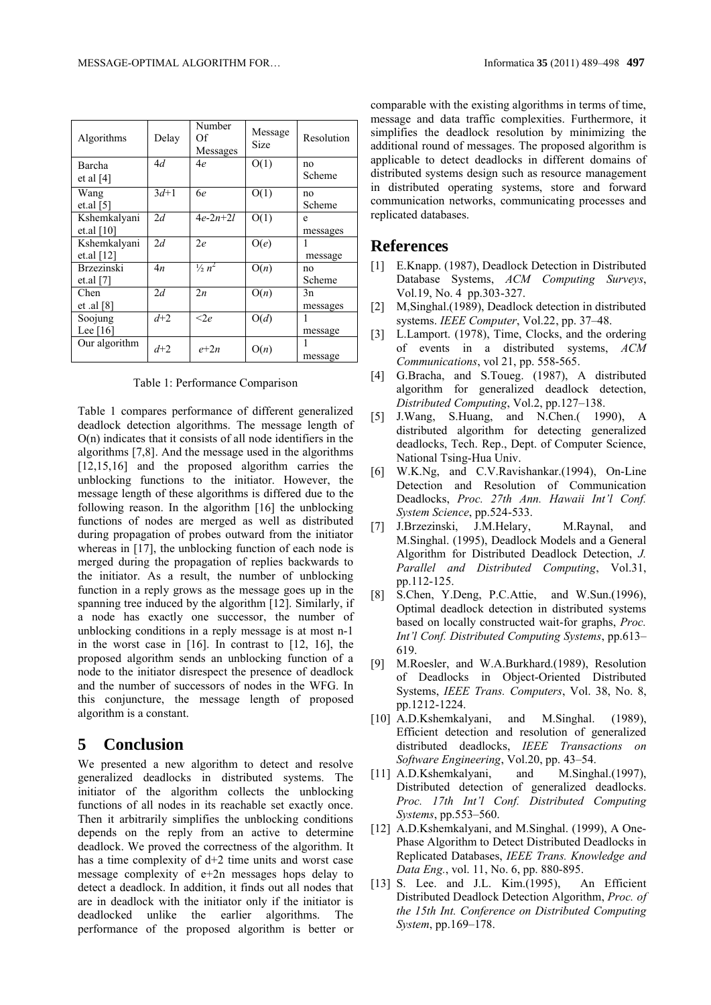| Algorithms              | Delay  | Number<br>Of<br>Messages | Message<br>Size | Resolution |
|-------------------------|--------|--------------------------|-----------------|------------|
| Barcha                  | 4d     | 4e                       | O(1)            | no         |
| et al $[4]$             |        |                          |                 | Scheme     |
| Wang                    | $3d+1$ | 6e                       | O(1)            | no         |
| et.al $\lceil 5 \rceil$ |        |                          |                 | Scheme     |
| Kshemkalyani            | 2d     | $4e-2n+2l$               | O(1)            | e          |
| et.al $[10]$            |        |                          |                 | messages   |
| Kshemkalyani            | 2d     | 2e                       | O(e)            |            |
| et.al $[12]$            |        |                          |                 | message    |
| <b>Brzezinski</b>       | 4n     | $\frac{1}{2} n^2$        | O(n)            | no         |
| et.al $[7]$             |        |                          |                 | Scheme     |
| Chen                    | 2d     | 2n                       | O(n)            | 3n         |
| et .al $[8]$            |        |                          |                 | messages   |
| Soojung                 | $d+2$  | $<$ 2e                   | O(d)            | 1          |
| Lee $[16]$              |        |                          |                 | message    |
| Our algorithm           | $d+2$  | $e + 2n$                 | O(n)            | 1          |
|                         |        |                          |                 | message    |

Table 1: Performance Comparison

Table 1 compares performance of different generalized deadlock detection algorithms. The message length of O(n) indicates that it consists of all node identifiers in the algorithms [7,8]. And the message used in the algorithms [12,15,16] and the proposed algorithm carries the unblocking functions to the initiator. However, the message length of these algorithms is differed due to the following reason. In the algorithm [16] the unblocking functions of nodes are merged as well as distributed during propagation of probes outward from the initiator whereas in [17], the unblocking function of each node is merged during the propagation of replies backwards to the initiator. As a result, the number of unblocking function in a reply grows as the message goes up in the spanning tree induced by the algorithm [12]. Similarly, if a node has exactly one successor, the number of unblocking conditions in a reply message is at most n-1 in the worst case in [16]. In contrast to [12, 16], the proposed algorithm sends an unblocking function of a node to the initiator disrespect the presence of deadlock and the number of successors of nodes in the WFG. In this conjuncture, the message length of proposed algorithm is a constant.

## **5 Conclusion**

We presented a new algorithm to detect and resolve generalized deadlocks in distributed systems. The initiator of the algorithm collects the unblocking functions of all nodes in its reachable set exactly once. Then it arbitrarily simplifies the unblocking conditions depends on the reply from an active to determine deadlock. We proved the correctness of the algorithm. It has a time complexity of  $d+2$  time units and worst case message complexity of e+2n messages hops delay to detect a deadlock. In addition, it finds out all nodes that are in deadlock with the initiator only if the initiator is deadlocked unlike the earlier algorithms. The performance of the proposed algorithm is better or comparable with the existing algorithms in terms of time, message and data traffic complexities. Furthermore, it simplifies the deadlock resolution by minimizing the additional round of messages. The proposed algorithm is applicable to detect deadlocks in different domains of distributed systems design such as resource management in distributed operating systems, store and forward communication networks, communicating processes and replicated databases.

## **References**

- [1] E.Knapp. (1987), Deadlock Detection in Distributed Database Systems, *ACM Computing Surveys*, Vol.19, No. 4 pp.303-327.
- [2] M,Singhal.(1989), Deadlock detection in distributed systems. *IEEE Computer*, Vol.22, pp. 37–48.
- [3] L.Lamport. (1978), Time, Clocks, and the ordering of events in a distributed systems, *ACM Communications*, vol 21, pp. 558-565.
- [4] G.Bracha, and S.Toueg. (1987), A distributed algorithm for generalized deadlock detection, *Distributed Computing*, Vol.2, pp.127–138.
- [5] J.Wang, S.Huang, and N.Chen.( 1990), A distributed algorithm for detecting generalized deadlocks, Tech. Rep., Dept. of Computer Science, National Tsing-Hua Univ.
- [6] W.K.Ng, and C.V.Ravishankar.(1994), On-Line Detection and Resolution of Communication Deadlocks, *Proc. 27th Ann. Hawaii Int'l Conf. System Science*, pp.524-533.
- [7] J.Brzezinski, J.M.Helary, M.Raynal, and M.Singhal. (1995), Deadlock Models and a General Algorithm for Distributed Deadlock Detection, *J. Parallel and Distributed Computing*, Vol.31, pp.112-125.
- [8] S.Chen, Y.Deng, P.C.Attie, and W.Sun.(1996), Optimal deadlock detection in distributed systems based on locally constructed wait-for graphs, *Proc. Int'l Conf. Distributed Computing Systems*, pp.613– 619.
- [9] M.Roesler, and W.A.Burkhard.(1989), Resolution of Deadlocks in Object-Oriented Distributed Systems, *IEEE Trans. Computers*, Vol. 38, No. 8, pp.1212-1224.
- [10] A.D.Kshemkalyani, and M.Singhal. (1989), Efficient detection and resolution of generalized distributed deadlocks, *IEEE Transactions on Software Engineering*, Vol.20, pp. 43–54.
- [11] A.D.Kshemkalyani, and M.Singhal.(1997), Distributed detection of generalized deadlocks. *Proc. 17th Int'l Conf. Distributed Computing Systems*, pp.553–560.
- [12] A.D.Kshemkalyani, and M.Singhal. (1999), A One-Phase Algorithm to Detect Distributed Deadlocks in Replicated Databases, *IEEE Trans. Knowledge and Data Eng.*, vol. 11, No. 6, pp. 880-895.
- [13] S. Lee. and J.L. Kim.(1995), An Efficient Distributed Deadlock Detection Algorithm, *Proc. of the 15th Int. Conference on Distributed Computing System*, pp.169–178.